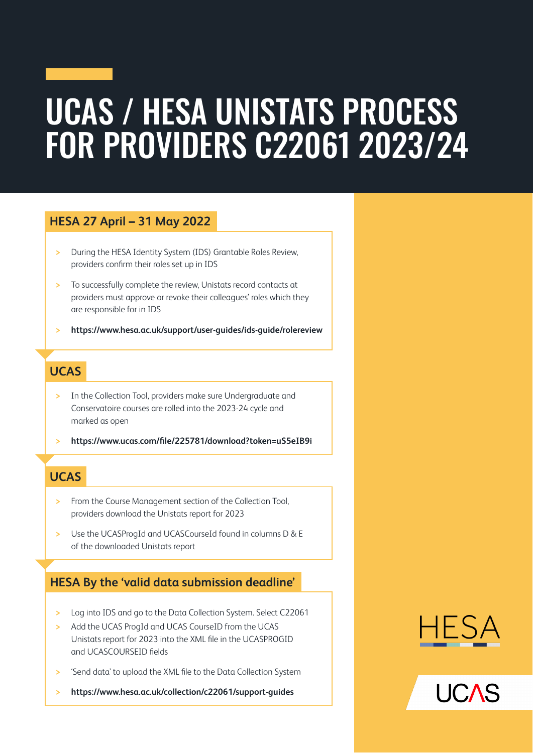## UCAS / HESA UNISTATS PROCESS FOR PROVIDERS C22061 2023/24

#### **HESA 27 April – 31 May 2022**

- **>** During the HESA Identity System (IDS) Grantable Roles Review, providers confirm their roles set up in IDS
- **>** To successfully complete the review, Unistats record contacts at providers must approve or revoke their colleagues' roles which they are responsible for in IDS
- **> <https://www.hesa.ac.uk/support/user-guides/ids-guide/rolereview>**

### **UCAS**

- **>** In the Collection Tool, providers make sure Undergraduate and Conservatoire courses are rolled into the 2023-24 cycle and marked as open
- **> <https://www.ucas.com/file/225781/download?token=uS5eIB9i>**

#### **UCAS**

- **>** From the Course Management section of the Collection Tool, providers download the Unistats report for 2023
- **>** Use the UCASProgId and UCASCourseId found in columns D & E of the downloaded Unistats report

#### **HESA By the 'valid data submission deadline'**

- **>** Log into IDS and go to the Data Collection System. Select C22061
- **>** Add the UCAS ProgId and UCAS CourseID from the UCAS Unistats report for 2023 into the XML file in the UCASPROGID and UCASCOURSEID fields
- **>** 'Send data' to upload the XML file to the Data Collection System
- **> <https://www.hesa.ac.uk/collection/c22061/support-guides>**